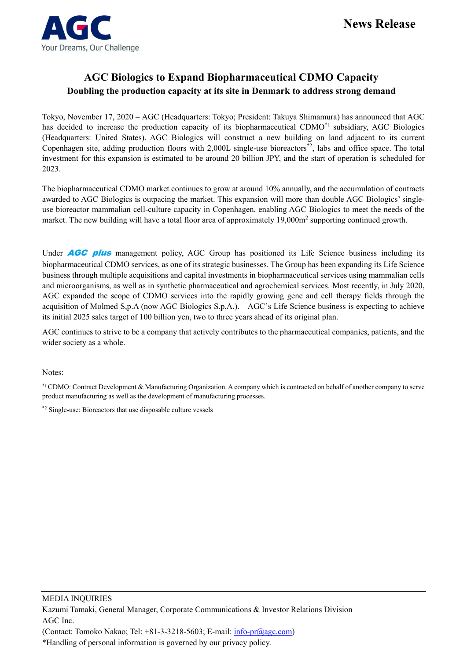## **AGC Biologics to Expand Biopharmaceutical CDMO Capacity Doubling the production capacity at its site in Denmark to address strong demand**

Tokyo, November 17, 2020 – AGC (Headquarters: Tokyo; President: Takuya Shimamura) has announced that AGC has decided to increase the production capacity of its biopharmaceutical CDMO<sup>\*1</sup> subsidiary, AGC Biologics (Headquarters: United States). AGC Biologics will construct a new building on land adjacent to its current Copenhagen site, adding production floors with 2,000L single-use bioreactors<sup>\*2</sup>, labs and office space. The total investment for this expansion is estimated to be around 20 billion JPY, and the start of operation is scheduled for 2023.

The biopharmaceutical CDMO market continues to grow at around 10% annually, and the accumulation of contracts awarded to AGC Biologics is outpacing the market. This expansion will more than double AGC Biologics' singleuse bioreactor mammalian cell-culture capacity in Copenhagen, enabling AGC Biologics to meet the needs of the market. The new building will have a total floor area of approximately 19,000m<sup>2</sup> supporting continued growth.

Under **AGC plus** management policy, AGC Group has positioned its Life Science business including its biopharmaceutical CDMO services, as one of its strategic businesses. The Group has been expanding its Life Science business through multiple acquisitions and capital investments in biopharmaceutical services using mammalian cells and microorganisms, as well as in synthetic pharmaceutical and agrochemical services. Most recently, in July 2020, AGC expanded the scope of CDMO services into the rapidly growing gene and cell therapy fields through the acquisition of Molmed S,p.A (now AGC Biologics S.p.A.). AGC's Life Science business is expecting to achieve its initial 2025 sales target of 100 billion yen, two to three years ahead of its original plan.

AGC continues to strive to be a company that actively contributes to the pharmaceutical companies, patients, and the wider society as a whole.

Notes:

\*1 CDMO: Contract Development & Manufacturing Organization. A company which is contracted on behalf of another company to serve product manufacturing as well as the development of manufacturing processes.

\*2 Single-use: Bioreactors that use disposable culture vessels

MEDIA INQUIRIES

Kazumi Tamaki, General Manager, Corporate Communications & Investor Relations Division AGC Inc.

(Contact: Tomoko Nakao; Tel:  $+81-3-3218-5603$ ; E-mail:  $\frac{\text{info-pr}(a) \cdot ac \cdot \text{comp}}{a}$ 

\*Handling of personal information is governed by our privacy policy.